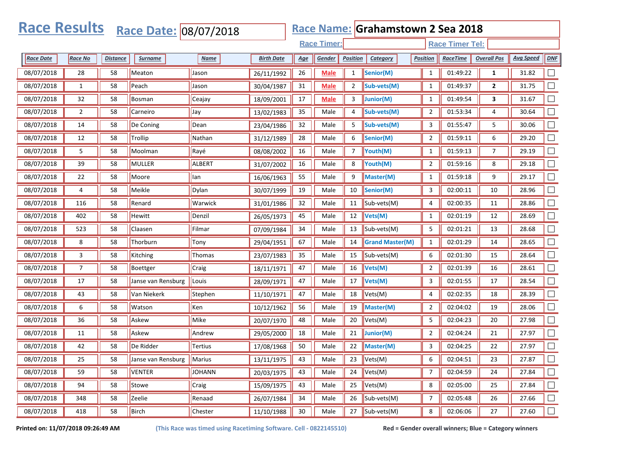| <b>Race Results</b> |                |                 | Race Date: 08/07/2018       |               |                   |            |                    |                 | Race Name: Grahamstown 2 Sea 2018 |                  |                        |                    |                  |        |
|---------------------|----------------|-----------------|-----------------------------|---------------|-------------------|------------|--------------------|-----------------|-----------------------------------|------------------|------------------------|--------------------|------------------|--------|
|                     |                |                 |                             |               |                   |            | <b>Race Timer:</b> |                 |                                   |                  | <b>Race Timer Tel:</b> |                    |                  |        |
| <b>Race Date</b>    | <b>Race No</b> | <b>Distance</b> | <b>Surname</b>              | <b>Name</b>   | <b>Birth Date</b> | <u>Age</u> | Gender             | <b>Position</b> | Category                          | Position         | <b>RaceTime</b>        | <b>Overall Pos</b> | <b>Avg Speed</b> | DNF    |
| 08/07/2018          | 28             | 58              | Meaton                      | Jason         | 26/11/1992        | 26         | <b>Male</b>        | $\mathbf{1}$    | Senior(M)                         | $\mathbf{1}$     | 01:49:22               | $\mathbf{1}$       | 31.82            |        |
| 08/07/2018          | $\mathbf{1}$   | 58              | Peach                       | Jason         | 30/04/1987        | 31         | <b>Male</b>        | $\overline{2}$  | Sub-vets(M)                       | $\mathbf{1}$     | 01:49:37               | $\mathbf{2}$       | 31.75            |        |
| 08/07/2018          | 32             | 58              | <b>Bosman</b>               | Ceajay        | 18/09/2001        | 17         | <b>Male</b>        | 3               | Junior(M)                         | $\mathbf{1}$     | 01:49:54               | 3                  | 31.67            |        |
| 08/07/2018          | $\overline{2}$ | 58              | Carneiro                    | Jay           | 13/02/1983        | 35         | Male               | 4               | Sub-vets(M)                       | $\overline{2}$   | 01:53:34               | 4                  | 30.64            |        |
| 08/07/2018          | 14             | 58              | De Coning                   | Dean          | 23/04/1986        | 32         | Male               | 5               | Sub-vets(M)                       | 3                | 01:55:47               | 5                  | 30.06            |        |
| 08/07/2018          | 12             | 58              | Trollip                     | Nathan        | 31/12/1989        | 28         | Male               | 6               | Senior(M)                         | $\overline{2}$   | 01:59:11               | 6                  | 29.20            |        |
| 08/07/2018          | 5              | 58              | Moolman                     | Rayé          | 08/08/2002        | 16         | Male               | 7               | Youth(M)                          | $\mathbf{1}$     | 01:59:13               | $\overline{7}$     | 29.19            |        |
| 08/07/2018          | 39             | 58              | <b>MULLER</b>               | ALBERT        | 31/07/2002        | 16         | Male               | 8               | Youth(M)                          | $\overline{2}$   | 01:59:16               | 8                  | 29.18            |        |
| 08/07/2018          | 22             | 58              | Moore                       | lan           | 16/06/1963        | 55         | Male               | 9               | Master(M)                         | $\mathbf{1}$     | 01:59:18               | 9                  | 29.17            |        |
| 08/07/2018          | 4              | 58              | Meikle                      | Dylan         | 30/07/1999        | 19         | Male               | 10              | Senior(M)                         | 3                | 02:00:11               | 10                 | 28.96            |        |
| 08/07/2018          | 116            | 58              | Renard                      | Warwick       | 31/01/1986        | 32         | Male               | 11              | Sub-vets(M)                       | 4                | 02:00:35               | 11                 | 28.86            |        |
| 08/07/2018          | 402            | 58              | <b>Hewitt</b>               | Denzil        | 26/05/1973        | 45         | Male               | 12              | Vets(M)                           | $\mathbf{1}$     | 02:01:19               | 12                 | 28.69            |        |
| 08/07/2018          | 523            | 58              | Claasen                     | Filmar        | 07/09/1984        | 34         | Male               | 13              | Sub-vets(M)                       | 5                | 02:01:21               | 13                 | 28.68            |        |
| 08/07/2018          | 8              | 58              | Thorburn                    | Tony          | 29/04/1951        | 67         | Male               | 14              | <b>Grand Master(M)</b>            | $\mathbf{1}$     | 02:01:29               | 14                 | 28.65            |        |
| 08/07/2018          | 3              | 58              | Kitching                    | Thomas        | 23/07/1983        | 35         | Male               | 15              | Sub-vets(M)                       | 6                | 02:01:30               | 15                 | 28.64            |        |
| 08/07/2018          | $\overline{7}$ | 58              | Boettger                    | Craig         | 18/11/1971        | 47         | Male               | 16              | Vets(M)                           | $\overline{2}$   | 02:01:39               | 16                 | 28.61            |        |
| 08/07/2018          | 17             | 58              | Janse van Rensburg          | Louis         | 28/09/1971        | 47         | Male               | 17              | Vets(M)                           | 3                | 02:01:55               | 17                 | 28.54            |        |
| 08/07/2018          | 43             | 58              | Van Niekerk                 | Stephen       | 11/10/1971        | 47         | Male               | 18              | Vets(M)                           | 4                | 02:02:35               | 18                 | 28.39            |        |
| 08/07/2018          | 6              | 58              | Watson                      | Ken           | 10/12/1962        | 56         | Male               | 19              | Master(M)                         | $\overline{2}$   | 02:04:02               | 19                 | 28.06            |        |
| 08/07/2018          | 36             | 58              | Askew                       | Mike          | 20/07/1970        | 48         | Male               | 20              | Vets(M)                           | 5                | 02:04:23               | 20                 | 27.98            |        |
| 08/07/2018          | 11             | 58              | Askew                       | Andrew        | 29/05/2000        | 18         | Male               | 21              | Junior(M)                         | $\overline{2}$   | 02:04:24               | 21                 | 27.97            |        |
| 08/07/2018          | 42             | 58              | De Ridder                   | Tertius       | 17/08/1968        | 50         | Male               | 22              | Master(M)                         | 3                | 02:04:25               | 22                 | 27.97            |        |
| 08/07/2018          | 25             | 58              | Janse van Rensburg   Marius |               | 13/11/1975        | 43         | Male               |                 | 23 $Vets(M)$                      | $\boldsymbol{6}$ | 02:04:51               | 23                 | 27.87            |        |
| 08/07/2018          | 59             | 58              | VENTER                      | <b>JOHANN</b> | 20/03/1975        | 43         | Male               | 24              | $\blacktriangleright$ Vets(M)     | $\overline{7}$   | 02:04:59               | 24                 | 27.84            |        |
| 08/07/2018          | 94             | 58              | Stowe                       | Craig         | 15/09/1975        | 43         | Male               | 25              | $\vert$ Vets(M)                   | 8                | 02:05:00               | 25                 | 27.84            | $\Box$ |
| 08/07/2018          | 348            | 58              | Zeelie                      | Renaad        | 26/07/1984        | 34         | Male               | 26              | Sub-vets(M)                       | $\overline{7}$   | 02:05:48               | 26                 | 27.66            | $\Box$ |
| 08/07/2018          | 418            | 58              | Birch                       | Chester       | 11/10/1988        | 30         | Male               | 27              | $\left\vert$ Sub-vets(M)          | 8                | 02:06:06               | 27                 | 27.60            | $\Box$ |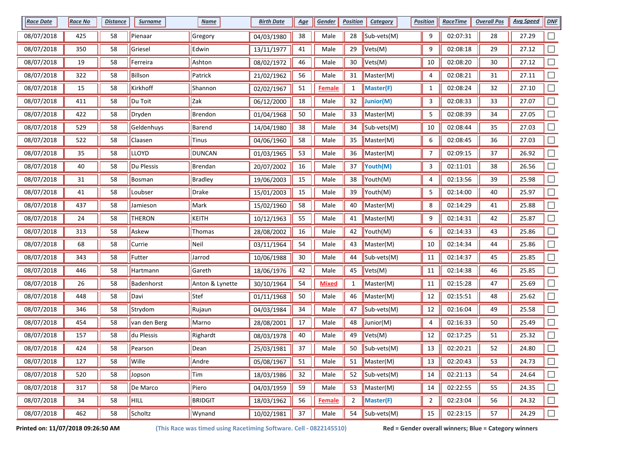| <b>Race Date</b> | <b>Race No</b> | <u>Distance</u> | <b>Surname</b> | <b>Name</b>     | <b>Birth Date</b> | <u>Age</u> | Gender        | <b>Position</b> | <b>Category</b>                        | <b>Position</b> | <b>RaceTime</b> | <b>Overall Pos</b> | <b>Avg Speed</b> | <b>DNF</b> |
|------------------|----------------|-----------------|----------------|-----------------|-------------------|------------|---------------|-----------------|----------------------------------------|-----------------|-----------------|--------------------|------------------|------------|
| 08/07/2018       | 425            | 58              | Pienaar        | Gregory         | 04/03/1980        | 38         | Male          | 28              | Sub-vets(M)                            | 9               | 02:07:31        | 28                 | 27.29            |            |
| 08/07/2018       | 350            | 58              | Griesel        | Edwin           | 13/11/1977        | 41         | Male          | 29              | Vets(M)                                | 9               | 02:08:18        | 29                 | 27.12            |            |
| 08/07/2018       | 19             | 58              | Ferreira       | Ashton          | 08/02/1972        | 46         | Male          | 30              | Vets(M)                                | 10              | 02:08:20        | 30                 | 27.12            |            |
| 08/07/2018       | 322            | 58              | <b>Billson</b> | Patrick         | 21/02/1962        | 56         | Male          | 31              | Master(M)                              | 4               | 02:08:21        | 31                 | 27.11            |            |
| 08/07/2018       | 15             | 58              | Kirkhoff       | Shannon         | 02/02/1967        | 51         | <b>Female</b> | $\mathbf{1}$    | Master(F)                              | $\mathbf{1}$    | 02:08:24        | 32                 | 27.10            |            |
| 08/07/2018       | 411            | 58              | Du Toit        | Zak             | 06/12/2000        | 18         | Male          | 32              | Junior(M)                              | 3               | 02:08:33        | 33                 | 27.07            | $\Box$     |
| 08/07/2018       | 422            | 58              | Dryden         | Brendon         | 01/04/1968        | $50\,$     | Male          | 33              | Master(M)                              | 5               | 02:08:39        | 34                 | 27.05            |            |
| 08/07/2018       | 529            | 58              | Geldenhuys     | Barend          | 14/04/1980        | 38         | Male          | 34              | Sub-vets(M)                            | 10              | 02:08:44        | 35                 | 27.03            |            |
| 08/07/2018       | 522            | 58              | Claasen        | Tinus           | 04/06/1960        | 58         | Male          | 35              | Master(M)                              | 6               | 02:08:45        | 36                 | 27.03            |            |
| 08/07/2018       | 35             | 58              | <b>LLOYD</b>   | <b>DUNCAN</b>   | 01/03/1965        | 53         | Male          | 36              | Master(M)                              | 7               | 02:09:15        | 37                 | 26.92            |            |
| 08/07/2018       | 40             | 58              | Du Plessis     | Brendan         | 20/07/2002        | 16         | Male          | 37              | Youth(M)                               | 3               | 02:11:01        | 38                 | 26.56            |            |
| 08/07/2018       | 31             | 58              | <b>Bosman</b>  | <b>Bradley</b>  | 19/06/2003        | 15         | Male          | 38              | Youth(M)                               | 4               | 02:13:56        | 39                 | 25.98            |            |
| 08/07/2018       | 41             | 58              | Loubser        | Drake           | 15/01/2003        | 15         | Male          | 39              | Youth(M)                               | 5               | 02:14:00        | 40                 | 25.97            |            |
| 08/07/2018       | 437            | 58              | Jamieson       | Mark            | 15/02/1960        | 58         | Male          | 40              | Master(M)                              | 8               | 02:14:29        | 41                 | 25.88            |            |
| 08/07/2018       | 24             | 58              | <b>THERON</b>  | KEITH           | 10/12/1963        | 55         | Male          | 41              | Master(M)                              | 9               | 02:14:31        | 42                 | 25.87            |            |
| 08/07/2018       | 313            | 58              | Askew          | Thomas          | 28/08/2002        | 16         | Male          | 42              | Youth(M)                               | 6               | 02:14:33        | 43                 | 25.86            |            |
| 08/07/2018       | 68             | 58              | Currie         | Neil            | 03/11/1964        | 54         | Male          | 43              | Master(M)                              | $10\,$          | 02:14:34        | 44                 | 25.86            |            |
| 08/07/2018       | 343            | 58              | Futter         | Jarrod          | 10/06/1988        | 30         | Male          | 44              | Sub-vets(M)                            | 11              | 02:14:37        | 45                 | 25.85            |            |
| 08/07/2018       | 446            | 58              | Hartmann       | Gareth          | 18/06/1976        | 42         | Male          | 45              | Vets(M)                                | 11              | 02:14:38        | 46                 | 25.85            |            |
| 08/07/2018       | 26             | 58              | Badenhorst     | Anton & Lynette | 30/10/1964        | 54         | Mixed         | $\mathbf{1}$    | Master(M)                              | 11              | 02:15:28        | 47                 | 25.69            |            |
| 08/07/2018       | 448            | 58              | Davi           | Stef            | 01/11/1968        | $50\,$     | Male          | 46              | Master(M)                              | 12              | 02:15:51        | 48                 | 25.62            |            |
| 08/07/2018       | 346            | 58              | Strydom        | Rujaun          | 04/03/1984        | 34         | Male          | 47              | Sub-vets(M)                            | 12              | 02:16:04        | 49                 | 25.58            |            |
| 08/07/2018       | 454            | 58              | van den Berg   | Marno           | 28/08/2001        | 17         | Male          | 48              | Junior(M)                              | 4               | 02:16:33        | 50                 | 25.49            | $\Box$     |
| 08/07/2018       | 157            | 58              | du Plessis     | Righardt        | 08/03/1978        | 40         | Male          | 49              | Vets(M)                                | 12              | 02:17:25        | 51                 | 25.32            |            |
| 08/07/2018       | 424            | 58              | Pearson        | Dean            | 25/03/1981        | 37         | Male          | 50              | Sub-vets(M)                            | 13              | 02:20:21        | 52                 | 24.80            |            |
| 08/07/2018       | 127            | 58              | Wille          | Andre           | 05/08/1967        | 51         | Male          | 51              | Master(M)                              | 13              | 02:20:43        | 53                 | 24.73            | $\Box$     |
| 08/07/2018       | 520            | 58              | Jopson         | Tim             | 18/03/1986        | 32         | Male          | 52              | $\mathsf{Sub\text{-}vets}(\mathsf{M})$ | 14              | 02:21:13        | 54                 | 24.64            | $\Box$     |
| 08/07/2018       | 317            | 58              | De Marco       | Piero           | 04/03/1959        | 59         | Male          | 53              | Master(M)                              | 14              | 02:22:55        | 55                 | 24.35            | $\Box$     |
| 08/07/2018       | 34             | 58              | HILL           | <b>BRIDGIT</b>  | 18/03/1962        | 56         | <b>Female</b> | $\overline{2}$  | Master(F)                              | $\overline{a}$  | 02:23:04        | 56                 | 24.32            | $\Box$     |
| 08/07/2018       | 462            | 58              | Scholtz        | Wynand          | 10/02/1981        | 37         | Male          | 54              | Sub-vets(M)                            | 15              | 02:23:15        | 57                 | 24.29            | $\Box$     |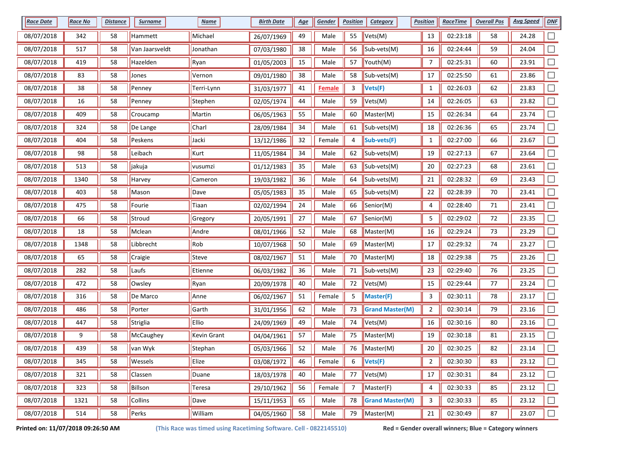| <b>Race Date</b> | <b>Race No</b> | <u>Distance</u> | <b>Surname</b>  | <b>Name</b>        | <b>Birth Date</b> | <u>Age</u> | Gender        | <b>Position</b> | <b>Category</b>                        | <b>Position</b> | <b>RaceTime</b> | <b>Overall Pos</b> | <b>Avg Speed</b> | <b>DNF</b>                  |
|------------------|----------------|-----------------|-----------------|--------------------|-------------------|------------|---------------|-----------------|----------------------------------------|-----------------|-----------------|--------------------|------------------|-----------------------------|
| 08/07/2018       | 342            | 58              | Hammett         | Michael            | 26/07/1969        | 49         | Male          | 55              | Vets(M)                                | 13              | 02:23:18        | 58                 | 24.28            |                             |
| 08/07/2018       | 517            | 58              | Van Jaarsveldt  | Jonathan           | 07/03/1980        | 38         | Male          | 56              | Sub-vets(M)                            | 16              | 02:24:44        | 59                 | 24.04            |                             |
| 08/07/2018       | 419            | 58              | Hazelden        | Ryan               | 01/05/2003        | 15         | Male          | 57              | $\vert$ Youth $\vert$ M)               | 7               | 02:25:31        | 60                 | 23.91            |                             |
| 08/07/2018       | 83             | 58              | Jones           | Vernon             | 09/01/1980        | 38         | Male          | 58              | Sub-vets(M)                            | 17              | 02:25:50        | 61                 | 23.86            |                             |
| 08/07/2018       | 38             | 58              | Penney          | Terri-Lynn         | 31/03/1977        | 41         | <b>Female</b> | 3               | Vets(F)                                | $\mathbf{1}$    | 02:26:03        | 62                 | 23.83            |                             |
| 08/07/2018       | 16             | 58              | Penney          | Stephen            | 02/05/1974        | 44         | Male          | 59              | Vets(M)                                | 14              | 02:26:05        | 63                 | 23.82            | $\Box$                      |
| 08/07/2018       | 409            | 58              | Croucamp        | Martin             | 06/05/1963        | 55         | Male          | 60              | Master(M)                              | 15              | 02:26:34        | 64                 | 23.74            |                             |
| 08/07/2018       | 324            | 58              | De Lange        | Charl              | 28/09/1984        | 34         | Male          | 61              | $\mathsf{Sub\text{-}vets}(\mathsf{M})$ | 18              | 02:26:36        | 65                 | 23.74            |                             |
| 08/07/2018       | 404            | 58              | Peskens         | Jacki              | 13/12/1986        | 32         | Female        | 4               | Sub-vets(F)                            | $\mathbf{1}$    | 02:27:00        | 66                 | 23.67            |                             |
| 08/07/2018       | 98             | 58              | Leibach         | Kurt               | 11/05/1984        | 34         | Male          | 62              | $\mathsf{Sub\text{-}vets}(\mathsf{M})$ | 19              | 02:27:13        | 67                 | 23.64            |                             |
| 08/07/2018       | 513            | 58              | <b>J</b> jakuja | vusumzi            | 01/12/1983        | 35         | Male          | 63              | Sub-vets(M)                            | 20              | 02:27:23        | 68                 | 23.61            |                             |
| 08/07/2018       | 1340           | 58              | Harvey          | Cameron            | 19/03/1982        | 36         | Male          | 64              | $\mathsf{Sub\text{-}vets}(\mathsf{M})$ | 21              | 02:28:32        | 69                 | 23.43            |                             |
| 08/07/2018       | 403            | 58              | Mason           | Dave               | 05/05/1983        | 35         | Male          | 65              | Sub-vets(M)                            | 22              | 02:28:39        | 70                 | 23.41            |                             |
| 08/07/2018       | 475            | 58              | Fourie          | Tiaan              | 02/02/1994        | 24         | Male          | 66              | Senior(M)                              | 4               | 02:28:40        | 71                 | 23.41            |                             |
| 08/07/2018       | 66             | 58              | Stroud          | Gregory            | 20/05/1991        | 27         | Male          | 67              | Senior(M)                              | 5               | 02:29:02        | 72                 | 23.35            |                             |
| 08/07/2018       | 18             | 58              | Mclean          | Andre              | 08/01/1966        | 52         | Male          | 68              | Master(M)                              | 16              | 02:29:24        | 73                 | 23.29            |                             |
| 08/07/2018       | 1348           | 58              | Libbrecht       | Rob                | 10/07/1968        | 50         | Male          | 69              | Master(M)                              | 17              | 02:29:32        | 74                 | 23.27            |                             |
| 08/07/2018       | 65             | 58              | Craigie         | Steve              | 08/02/1967        | 51         | Male          | 70              | Master(M)                              | 18              | 02:29:38        | 75                 | 23.26            |                             |
| 08/07/2018       | 282            | 58              | Laufs           | Etienne            | 06/03/1982        | 36         | Male          | 71              | Sub-vets(M)                            | 23              | 02:29:40        | 76                 | 23.25            |                             |
| 08/07/2018       | 472            | 58              | Owsley          | Ryan               | 20/09/1978        | 40         | Male          | 72              | Vets(M)                                | 15              | 02:29:44        | 77                 | 23.24            |                             |
| 08/07/2018       | 316            | 58              | De Marco        | Anne               | 06/02/1967        | 51         | Female        | 5               | Master(F)                              | 3               | 02:30:11        | 78                 | 23.17            |                             |
| 08/07/2018       | 486            | 58              | Porter          | Garth              | 31/01/1956        | 62         | Male          | 73              | <b>Grand Master(M)</b>                 | 2               | 02:30:14        | 79                 | 23.16            |                             |
| 08/07/2018       | 447            | 58              | Striglia        | Ellio              | 24/09/1969        | 49         | Male          | 74              | Vets(M)                                | 16              | 02:30:16        | 80                 | 23.16            | $\Box$                      |
| 08/07/2018       | 9              | 58              | McCaughey       | <b>Kevin Grant</b> | 04/04/1961        | 57         | Male          | 75              | Master(M)                              | 19              | 02:30:18        | 81                 | 23.15            |                             |
| 08/07/2018       | 439            | 58              | van Wyk         | Stephan            | 05/03/1966        | 52         | Male          | 76              | Master(M)                              | 20              | 02:30:25        | 82                 | 23.14            |                             |
| 08/07/2018       | 345            | 58              | Wessels         | Elize              | 03/08/1972        | 46         | Female        | 6               | Vets(F)                                | $\mathbf{2}$    | 02:30:30        | 83                 | 23.12            |                             |
| 08/07/2018       | 321            | 58              | Classen         | Duane              | 18/03/1978        | 40         | Male          | 77              | Vets(M)                                | 17              | 02:30:31        | 84                 | 23.12            | $\mathcal{L}_{\mathcal{A}}$ |
| 08/07/2018       | 323            | 58              | Billson         | Teresa             | 29/10/1962        | 56         | Female        | $\overline{7}$  | Master(F)                              | 4               | 02:30:33        | 85                 | 23.12            | $\Box$                      |
| 08/07/2018       | 1321           | 58              | <b>Collins</b>  | Dave               | 15/11/1953        | 65         | Male          | 78              | <b>Grand Master(M)</b>                 | 3               | 02:30:33        | 85                 | 23.12            | $\Box$                      |
| 08/07/2018       | 514            | 58              | Perks           | William            | 04/05/1960        | 58         | Male          | 79              | Master(M)                              | 21              | 02:30:49        | 87                 | 23.07            | $\Box$                      |

**Printed on: 11/07/2018 09:26:50 AM (This Race was timed using Racetiming Software. Cell - 0822145510) Red = Gender overall winners; Blue = Category winners**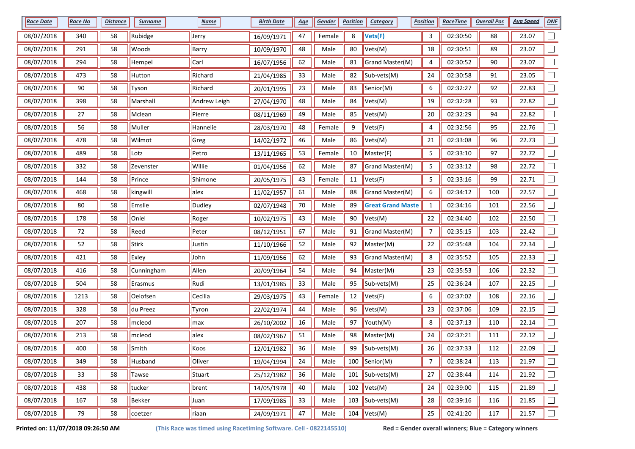| <b>Race Date</b> | <b>Race No</b> | <b>Distance</b> | <b>Surname</b> | <b>Name</b>  | <b>Birth Date</b> | <u>Age</u> | Gender | <b>Position</b> | Category                               | <b>Position</b> | <b>RaceTime</b> | <b>Overall Pos</b> | <b>Avg Speed</b> | <b>DNF</b>               |
|------------------|----------------|-----------------|----------------|--------------|-------------------|------------|--------|-----------------|----------------------------------------|-----------------|-----------------|--------------------|------------------|--------------------------|
| 08/07/2018       | 340            | 58              | Rubidge        | Jerry        | 16/09/1971        | 47         | Female | 8               | Vets(F)                                | 3               | 02:30:50        | 88                 | 23.07            |                          |
| 08/07/2018       | 291            | 58              | Woods          | Barry        | 10/09/1970        | 48         | Male   | 80              | Vets(M)                                | 18              | 02:30:51        | 89                 | 23.07            |                          |
| 08/07/2018       | 294            | 58              | Hempel         | Carl         | 16/07/1956        | 62         | Male   | 81              | Grand Master(M)                        | 4               | 02:30:52        | 90                 | 23.07            |                          |
| 08/07/2018       | 473            | 58              | Hutton         | Richard      | 21/04/1985        | 33         | Male   | 82              | $\mathsf{Sub\text{-}vets}(\mathsf{M})$ | 24              | 02:30:58        | 91                 | 23.05            |                          |
| 08/07/2018       | 90             | 58              | Tyson          | Richard      | 20/01/1995        | 23         | Male   | 83              | Senior(M)                              | 6               | 02:32:27        | 92                 | 22.83            |                          |
| 08/07/2018       | 398            | 58              | Marshall       | Andrew Leigh | 27/04/1970        | 48         | Male   | 84              | Vets(M)                                | 19              | 02:32:28        | 93                 | 22.82            |                          |
| 08/07/2018       | 27             | 58              | Mclean         | Pierre       | 08/11/1969        | 49         | Male   | 85              | Vets(M)                                | $20\,$          | 02:32:29        | 94                 | 22.82            |                          |
| 08/07/2018       | 56             | 58              | Muller         | Hannelie     | 28/03/1970        | 48         | Female | 9               | Vets(F)                                | 4               | 02:32:56        | 95                 | 22.76            |                          |
| 08/07/2018       | 478            | 58              | Wilmot         | Greg         | 14/02/1972        | 46         | Male   | 86              | Vets(M)                                | 21              | 02:33:08        | 96                 | 22.73            |                          |
| 08/07/2018       | 489            | 58              | Lotz           | Petro        | 13/11/1965        | 53         | Female | 10              | Master(F)                              | 5               | 02:33:10        | 97                 | 22.72            |                          |
| 08/07/2018       | 332            | 58              | Zevenster      | Willie       | 01/04/1956        | 62         | Male   | 87              | Grand Master(M)                        | 5               | 02:33:12        | 98                 | 22.72            |                          |
| 08/07/2018       | 144            | 58              | Prince         | Shimone      | 20/05/1975        | 43         | Female | 11              | Vets(F)                                | 5               | 02:33:16        | 99                 | 22.71            |                          |
| 08/07/2018       | 468            | 58              | kingwill       | alex         | 11/02/1957        | 61         | Male   | 88              | Grand Master(M)                        | 6               | 02:34:12        | 100                | 22.57            |                          |
| 08/07/2018       | 80             | 58              | Emslie         | Dudley       | 02/07/1948        | 70         | Male   | 89              | <b>Great Grand Maste</b>               | $\mathbf{1}$    | 02:34:16        | 101                | 22.56            |                          |
| 08/07/2018       | 178            | 58              | Oniel          | Roger        | 10/02/1975        | 43         | Male   | 90              | Vets(M)                                | 22              | 02:34:40        | 102                | 22.50            |                          |
| 08/07/2018       | 72             | 58              | Reed           | Peter        | 08/12/1951        | 67         | Male   | 91              | Grand Master(M)                        | $\overline{7}$  | 02:35:15        | 103                | 22.42            |                          |
| 08/07/2018       | 52             | 58              | Stirk          | Justin       | 11/10/1966        | 52         | Male   | 92              | Master(M)                              | 22              | 02:35:48        | 104                | 22.34            |                          |
| 08/07/2018       | 421            | 58              | Exley          | John         | 11/09/1956        | 62         | Male   | 93              | Grand Master(M)                        | 8               | 02:35:52        | 105                | 22.33            |                          |
| 08/07/2018       | 416            | 58              | Cunningham     | Allen        | 20/09/1964        | 54         | Male   | 94              | Master(M)                              | 23              | 02:35:53        | 106                | 22.32            |                          |
| 08/07/2018       | 504            | 58              | Erasmus        | Rudi         | 13/01/1985        | 33         | Male   | 95              | Sub-vets(M)                            | 25              | 02:36:24        | 107                | 22.25            |                          |
| 08/07/2018       | 1213           | 58              | Oelofsen       | Cecilia      | 29/03/1975        | 43         | Female | 12              | Vets(F)                                | 6               | 02:37:02        | 108                | 22.16            |                          |
| 08/07/2018       | 328            | 58              | du Preez       | Tyron        | 22/02/1974        | 44         | Male   | 96              | Vets(M)                                | 23              | 02:37:06        | 109                | 22.15            |                          |
| 08/07/2018       | 207            | 58              | mcleod         | max          | 26/10/2002        | 16         | Male   | 97              | Youth(M)                               | 8               | 02:37:13        | 110                | 22.14            | $\Box$                   |
| 08/07/2018       | 213            | 58              | mcleod         | alex         | 08/02/1967        | 51         | Male   | 98              | Master(M)                              | 24              | 02:37:21        | 111                | 22.12            |                          |
| 08/07/2018       | 400            | 58              | Smith          | Koos         | 12/01/1982        | 36         | Male   | 99              | Sub-vets(M)                            | 26              | 02:37:33        | 112                | 22.09            |                          |
| 08/07/2018       | 349            | 58              | Husband        | Oliver       | 19/04/1994        | 24         | Male   |                 | 100 Senior(M)                          | 7               | 02:38:24        | 113                | 21.97            |                          |
| 08/07/2018       | 33             | 58              | <b>Tawse</b>   | Stuart       | 25/12/1982        | 36         | Male   |                 | 101 $\vert$ Sub-vets(M)                | 27              | 02:38:44        | 114                | 21.92            | $\Box$                   |
| 08/07/2018       | 438            | 58              | tucker         | brent        | 14/05/1978        | 40         | Male   |                 | 102 $ Vets(M) $                        | 24              | 02:39:00        | 115                | 21.89            | $\overline{\phantom{a}}$ |
| 08/07/2018       | 167            | 58              | Bekker         | Juan         | 17/09/1985        | 33         | Male   | 103             | Sub-vets(M)                            | 28              | 02:39:16        | 116                | 21.85            | $\Box$                   |
| 08/07/2018       | 79             | 58              | coetzer        | riaan        | 24/09/1971        | 47         | Male   |                 | 104 $Vets(M)$                          | 25              | 02:41:20        | 117                | 21.57            | $\Box$                   |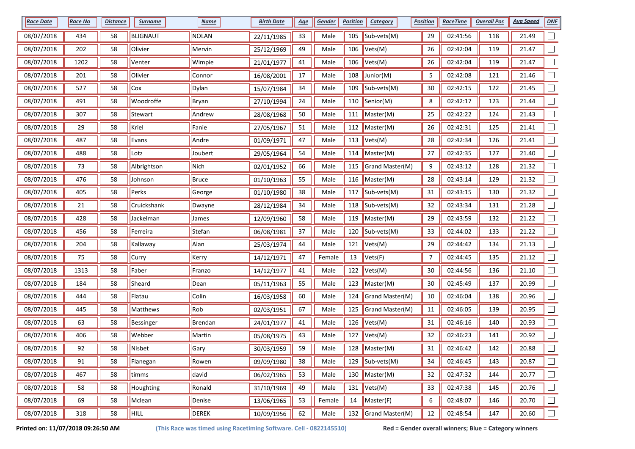| <b>Race Date</b> | <b>Race No</b> | <u>Distance</u> | <b>Surname</b>  | <b>Name</b>  | <b>Birth Date</b> | <u>Age</u> | Gender | <b>Position</b> | <b>Category</b>                 | <b>Position</b> | <b>RaceTime</b> | <b>Overall Pos</b> | <b>Avg Speed</b> | <b>DNF</b> |
|------------------|----------------|-----------------|-----------------|--------------|-------------------|------------|--------|-----------------|---------------------------------|-----------------|-----------------|--------------------|------------------|------------|
| 08/07/2018       | 434            | 58              | <b>BLIGNAUT</b> | <b>NOLAN</b> | 22/11/1985        | 33         | Male   | 105             | Sub-vets(M)                     | 29              | 02:41:56        | 118                | 21.49            |            |
| 08/07/2018       | 202            | 58              | Olivier         | Mervin       | 25/12/1969        | 49         | Male   | 106             | $\blacktriangleright$ Vets(M)   | 26              | 02:42:04        | 119                | 21.47            |            |
| 08/07/2018       | 1202           | 58              | Venter          | Wimpie       | 21/01/1977        | 41         | Male   | 106             | Vets(M)                         | 26              | 02:42:04        | 119                | 21.47            |            |
| 08/07/2018       | 201            | 58              | Olivier         | Connor       | 16/08/2001        | 17         | Male   | 108             | Junior(M)                       | 5               | 02:42:08        | 121                | 21.46            |            |
| 08/07/2018       | 527            | 58              | Cox             | Dylan        | 15/07/1984        | 34         | Male   | 109             | Sub-vets(M)                     | $30\,$          | 02:42:15        | 122                | 21.45            |            |
| 08/07/2018       | 491            | 58              | Woodroffe       | Bryan        | 27/10/1994        | 24         | Male   | 110             | Senior(M)                       | 8               | 02:42:17        | 123                | 21.44            | $\Box$     |
| 08/07/2018       | 307            | 58              | Stewart         | Andrew       | 28/08/1968        | $50\,$     | Male   | 111             | Master(M)                       | 25              | 02:42:22        | 124                | 21.43            |            |
| 08/07/2018       | 29             | 58              | Kriel           | Fanie        | 27/05/1967        | 51         | Male   | 112             | Master(M)                       | 26              | 02:42:31        | 125                | 21.41            |            |
| 08/07/2018       | 487            | 58              | Evans           | Andre        | 01/09/1971        | 47         | Male   | 113             | Vets(M)                         | 28              | 02:42:34        | 126                | 21.41            |            |
| 08/07/2018       | 488            | 58              | Lotz            | Joubert      | 29/05/1964        | 54         | Male   | 114             | Master(M)                       | 27              | 02:42:35        | 127                | 21.40            |            |
| 08/07/2018       | 73             | 58              | Albrightson     | Nich         | 02/01/1952        | 66         | Male   |                 | 115 Grand Master(M)             | 9               | 02:43:12        | 128                | 21.32            |            |
| 08/07/2018       | 476            | 58              | Johnson         | Bruce        | 01/10/1963        | 55         | Male   |                 | 116   Master(M)                 | 28              | 02:43:14        | 129                | 21.32            |            |
| 08/07/2018       | 405            | 58              | Perks           | George       | 01/10/1980        | 38         | Male   | 117             | $\vert$ Sub-vets(M)             | 31              | 02:43:15        | 130                | 21.32            |            |
| 08/07/2018       | 21             | 58              | Cruickshank     | Dwayne       | 28/12/1984        | 34         | Male   | 118             | Sub-vets(M)                     | 32              | 02:43:34        | 131                | 21.28            |            |
| 08/07/2018       | 428            | 58              | Jackelman       | James        | 12/09/1960        | 58         | Male   | 119             | Master(M)                       | 29              | 02:43:59        | 132                | 21.22            |            |
| 08/07/2018       | 456            | 58              | Ferreira        | Stefan       | 06/08/1981        | 37         | Male   | 120             | Sub-vets(M)                     | 33              | 02:44:02        | 133                | 21.22            |            |
| 08/07/2018       | 204            | 58              | Kallaway        | Alan         | 25/03/1974        | 44         | Male   | 121             | Vets(M)                         | 29              | 02:44:42        | 134                | 21.13            |            |
| 08/07/2018       | 75             | 58              | Curry           | Kerry        | 14/12/1971        | 47         | Female | 13              | Vets(F)                         | 7               | 02:44:45        | 135                | 21.12            |            |
| 08/07/2018       | 1313           | 58              | Faber           | Franzo       | 14/12/1977        | 41         | Male   | 122             | Vets(M)                         | 30              | 02:44:56        | 136                | 21.10            |            |
| 08/07/2018       | 184            | 58              | Sheard          | Dean         | 05/11/1963        | 55         | Male   |                 | 123   Master(M)                 | 30              | 02:45:49        | 137                | 20.99            |            |
| 08/07/2018       | 444            | 58              | Flatau          | Colin        | 16/03/1958        | 60         | Male   | 124             | Grand Master(M)                 | 10              | 02:46:04        | 138                | 20.96            |            |
| 08/07/2018       | 445            | 58              | Matthews        | Rob          | 02/03/1951        | 67         | Male   | 125             | Grand Master(M)                 | 11              | 02:46:05        | 139                | 20.95            |            |
| 08/07/2018       | 63             | 58              | Bessinger       | Brendan      | 24/01/1977        | 41         | Male   | 126             | Vets(M)                         | 31              | 02:46:16        | 140                | 20.93            | $\Box$     |
| 08/07/2018       | 406            | 58              | Webber          | Martin       | 05/08/1975        | 43         | Male   | 127             | Vets(M)                         | 32              | 02:46:23        | 141                | 20.92            |            |
| 08/07/2018       | 92             | 58              | Nisbet          | Gary         | 30/03/1959        | 59         | Male   | 128             | Master(M)                       | 31              | 02:46:42        | 142                | 20.88            |            |
| 08/07/2018       | 91             | 58              | Flanegan        | Rowen        | 09/09/1980        | 38         | Male   |                 | 129 $\sqrt{\text{Sub-vets(M)}}$ | 34              | 02:46:45        | 143                | 20.87            |            |
| 08/07/2018       | 467            | 58              | timms           | david        | 06/02/1965        | 53         | Male   |                 | 130 Master(M)                   | 32              | 02:47:32        | 144                | 20.77            | $\Box$     |
| 08/07/2018       | 58             | 58              | Houghting       | Ronald       | 31/10/1969        | 49         | Male   |                 | 131 $Vets(M)$                   | 33              | 02:47:38        | 145                | 20.76            | $\Box$     |
| 08/07/2018       | 69             | 58              | Mclean          | Denise       | 13/06/1965        | 53         | Female | 14              | Master(F)                       | 6               | 02:48:07        | 146                | 20.70            | $\Box$     |
| 08/07/2018       | 318            | 58              | <b>F</b> HILL   | DEREK        | 10/09/1956        | 62         | Male   |                 | 132 Grand Master(M)             | 12              | 02:48:54        | 147                | 20.60            | $\Box$     |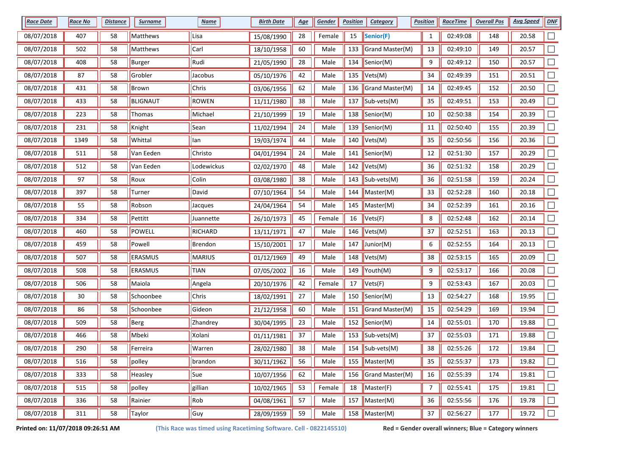| <b>Race Date</b> | <b>Race No</b> | <b>Distance</b> | <b>Surname</b>  | <b>Name</b>   | <b>Birth Date</b> | <u>Age</u> | Gender | <b>Position</b> | Category                | <b>Position</b> | <b>RaceTime</b> | <b>Overall Pos</b> | <b>Avg Speed</b> | <b>DNF</b> |
|------------------|----------------|-----------------|-----------------|---------------|-------------------|------------|--------|-----------------|-------------------------|-----------------|-----------------|--------------------|------------------|------------|
| 08/07/2018       | 407            | 58              | Matthews        | Lisa          | 15/08/1990        | 28         | Female | 15              | Senior(F)               | 1               | 02:49:08        | 148                | 20.58            |            |
| 08/07/2018       | 502            | 58              | Matthews        | Carl          | 18/10/1958        | 60         | Male   | 133             | Grand Master(M)         | 13              | 02:49:10        | 149                | 20.57            |            |
| 08/07/2018       | 408            | 58              | Burger          | Rudi          | 21/05/1990        | 28         | Male   | 134             | Senior(M)               | 9               | 02:49:12        | 150                | 20.57            |            |
| 08/07/2018       | 87             | 58              | Grobler         | Jacobus       | 05/10/1976        | 42         | Male   | 135             | Vets(M)                 | 34              | 02:49:39        | 151                | 20.51            |            |
| 08/07/2018       | 431            | 58              | Brown           | <b>Chris</b>  | 03/06/1956        | 62         | Male   | 136             | Grand Master(M)         | 14              | 02:49:45        | 152                | 20.50            |            |
| 08/07/2018       | 433            | 58              | <b>BLIGNAUT</b> | ROWEN         | 11/11/1980        | 38         | Male   | 137             | $\parallel$ Sub-vets(M) | 35              | 02:49:51        | 153                | 20.49            |            |
| 08/07/2018       | 223            | 58              | Thomas          | Michael       | 21/10/1999        | 19         | Male   | 138             | Senior(M)               | 10              | 02:50:38        | 154                | 20.39            | $\Box$     |
| 08/07/2018       | 231            | 58              | Knight          | Sean          | 11/02/1994        | 24         | Male   | 139             | Senior(M)               | $11\,$          | 02:50:40        | 155                | 20.39            |            |
| 08/07/2018       | 1349           | 58              | Whittal         | lan           | 19/03/1974        | 44         | Male   | 140             | Vets(M)                 | 35              | 02:50:56        | 156                | 20.36            |            |
| 08/07/2018       | 511            | 58              | Van Eeden       | Christo       | 04/01/1994        | 24         | Male   | 141             | Senior(M)               | 12              | 02:51:30        | 157                | 20.29            |            |
| 08/07/2018       | 512            | 58              | Van Eeden       | Lodewickus    | 02/02/1970        | 48         | Male   |                 | 142 $ Vets(M) $         | 36              | 02:51:32        | 158                | 20.29            |            |
| 08/07/2018       | 97             | 58              | Roux            | Colin         | 03/08/1980        | 38         | Male   | 143             | Sub-vets(M)             | 36              | 02:51:58        | 159                | 20.24            |            |
| 08/07/2018       | 397            | 58              | Turner          | David         | 07/10/1964        | 54         | Male   |                 | 144   Master(M)         | 33              | 02:52:28        | 160                | 20.18            |            |
| 08/07/2018       | 55             | 58              | Robson          | Jacques       | 24/04/1964        | 54         | Male   | 145             | Master(M)               | 34              | 02:52:39        | 161                | 20.16            |            |
| 08/07/2018       | 334            | 58              | Pettitt         | Juannette     | 26/10/1973        | 45         | Female | 16              | Vets(F)                 | 8               | 02:52:48        | 162                | 20.14            | П          |
| 08/07/2018       | 460            | 58              | POWELL          | RICHARD       | 13/11/1971        | 47         | Male   | 146             | Vets(M)                 | 37              | 02:52:51        | 163                | 20.13            |            |
| 08/07/2018       | 459            | 58              | Powell          | Brendon       | 15/10/2001        | 17         | Male   | 147             | Junior(M)               | 6               | 02:52:55        | 164                | 20.13            |            |
| 08/07/2018       | 507            | 58              | <b>ERASMUS</b>  | <b>MARIUS</b> | 01/12/1969        | 49         | Male   | 148             | Vets(M)                 | 38              | 02:53:15        | 165                | 20.09            |            |
| 08/07/2018       | 508            | 58              | ERASMUS         | <b>TIAN</b>   | 07/05/2002        | 16         | Male   | 149             | Youth(M)                | 9               | 02:53:17        | 166                | 20.08            |            |
| 08/07/2018       | 506            | 58              | Maiola          | Angela        | 20/10/1976        | 42         | Female | 17              | Vets(F)                 | 9               | 02:53:43        | 167                | 20.03            |            |
| 08/07/2018       | 30             | 58              | Schoonbee       | Chris         | 18/02/1991        | 27         | Male   | 150             | Senior(M)               | 13              | 02:54:27        | 168                | 19.95            |            |
| 08/07/2018       | 86             | 58              | Schoonbee       | Gideon        | 21/12/1958        | 60         | Male   | 151             | Grand Master(M)         | 15              | 02:54:29        | 169                | 19.94            |            |
| 08/07/2018       | 509            | 58              | Berg            | Zhandrey      | 30/04/1995        | 23         | Male   | 152             | Senior(M)               | 14              | 02:55:01        | 170                | 19.88            | $\Box$     |
| 08/07/2018       | 466            | 58              | Mbeki           | Xolani        | 01/11/1981        | 37         | Male   | 153             | Sub-vets(M)             | 37              | 02:55:03        | 171                | 19.88            |            |
| 08/07/2018       | 290            | 58              | Ferreira        | Warren        | 28/02/1980        | 38         | Male   |                 | 154 $\vert$ Sub-vets(M) | 38              | 02:55:26        | 172                | 19.84            |            |
| 08/07/2018       | 516            | 58              | polley          | brandon       | 30/11/1962        | 56         | Male   |                 | 155 $M$ Master(M)       | 35              | 02:55:37        | 173                | 19.82            |            |
| 08/07/2018       | 333            | 58              | Heasley         | Sue           | 10/07/1956        | 62         | Male   |                 | 156 Grand Master(M)     | 16              | 02:55:39        | 174                | 19.81            | $\Box$     |
| 08/07/2018       | 515            | 58              | polley          | gillian       | 10/02/1965        | 53         | Female | 18              | Master(F)               | $\overline{7}$  | 02:55:41        | 175                | 19.81            | $\Box$     |
| 08/07/2018       | 336            | 58              | Rainier         | Rob           | 04/08/1961        | 57         | Male   |                 | 157   Master(M)         | 36              | 02:55:56        | 176                | 19.78            | $\Box$     |
| 08/07/2018       | 311            | 58              | Taylor          | Guy           | 28/09/1959        | 59         | Male   |                 | 158 Master(M)           | 37              | 02:56:27        | 177                | 19.72            | $\Box$     |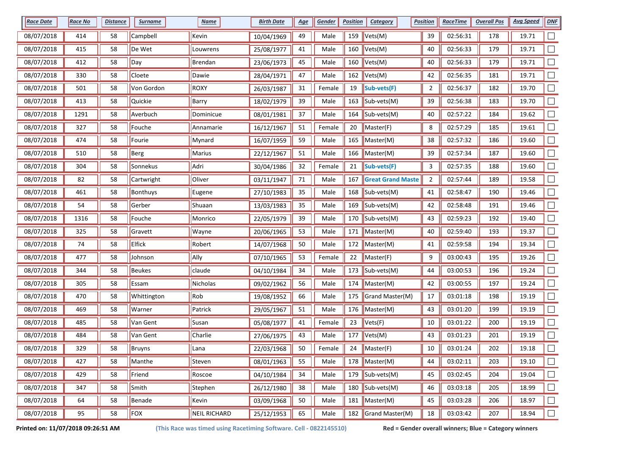| <b>Race Date</b> | <b>Race No</b> | <u>Distance</u> | <b>Surname</b> | <b>Name</b>         | <b>Birth Date</b> | <u>Age</u> | Gender | <b>Position</b> | <b>Category</b>                 | <b>Position</b> | <b>RaceTime</b> | <b>Overall Pos</b> | <b>Avg Speed</b> | <b>DNF</b> |
|------------------|----------------|-----------------|----------------|---------------------|-------------------|------------|--------|-----------------|---------------------------------|-----------------|-----------------|--------------------|------------------|------------|
| 08/07/2018       | 414            | 58              | Campbell       | Kevin               | 10/04/1969        | 49         | Male   | 159             | Vets(M)                         | 39              | 02:56:31        | 178                | 19.71            |            |
| 08/07/2018       | 415            | 58              | De Wet         | Louwrens            | 25/08/1977        | 41         | Male   | 160             | Vets(M)                         | 40              | 02:56:33        | 179                | 19.71            |            |
| 08/07/2018       | 412            | 58              | Day            | Brendan             | 23/06/1973        | 45         | Male   | 160             | Vets(M)                         | 40              | 02:56:33        | 179                | 19.71            |            |
| 08/07/2018       | 330            | 58              | Cloete         | Dawie               | 28/04/1971        | 47         | Male   | 162             | Vets(M)                         | 42              | 02:56:35        | 181                | 19.71            |            |
| 08/07/2018       | 501            | 58              | Von Gordon     | ROXY                | 26/03/1987        | 31         | Female | 19              | Sub-vets(F)                     | $\overline{a}$  | 02:56:37        | 182                | 19.70            |            |
| 08/07/2018       | 413            | 58              | Quickie        | Barry               | 18/02/1979        | 39         | Male   | 163             | Sub-vets(M)                     | 39              | 02:56:38        | 183                | 19.70            | $\Box$     |
| 08/07/2018       | 1291           | 58              | Averbuch       | Dominicue           | 08/01/1981        | 37         | Male   | 164             | Sub-vets(M)                     | 40              | 02:57:22        | 184                | 19.62            |            |
| 08/07/2018       | 327            | 58              | Fouche         | Annamarie           | 16/12/1967        | 51         | Female | 20              | Master(F)                       | 8               | 02:57:29        | 185                | 19.61            |            |
| 08/07/2018       | 474            | 58              | Fourie         | Mynard              | 16/07/1959        | 59         | Male   | 165             | Master(M)                       | 38              | 02:57:32        | 186                | 19.60            |            |
| 08/07/2018       | 510            | 58              | Berg           | Marius              | 22/12/1967        | 51         | Male   | 166             | $M$ Master(M)                   | 39              | 02:57:34        | 187                | 19.60            |            |
| 08/07/2018       | 304            | 58              | Sonnekus       | Adri                | 30/04/1986        | 32         | Female | 21              | Sub-vets(F)                     | 3               | 02:57:35        | 188                | 19.60            |            |
| 08/07/2018       | 82             | 58              | Cartwright     | Oliver              | 03/11/1947        | 71         | Male   | 167             | <b>Great Grand Maste</b>        | 2               | 02:57:44        | 189                | 19.58            |            |
| 08/07/2018       | 461            | 58              | Bonthuys       | Eugene              | 27/10/1983        | 35         | Male   | 168             | Sub-vets(M)                     | 41              | 02:58:47        | 190                | 19.46            |            |
| 08/07/2018       | 54             | 58              | Gerber         | Shuaan              | 13/03/1983        | 35         | Male   | 169             | Sub-vets(M)                     | 42              | 02:58:48        | 191                | 19.46            |            |
| 08/07/2018       | 1316           | 58              | Fouche         | Monrico             | 22/05/1979        | 39         | Male   | 170             | Sub-vets(M)                     | 43              | 02:59:23        | 192                | 19.40            |            |
| 08/07/2018       | 325            | 58              | Gravett        | Wayne               | 20/06/1965        | 53         | Male   | 171             | Master(M)                       | 40              | 02:59:40        | 193                | 19.37            |            |
| 08/07/2018       | 74             | 58              | <b>Elfick</b>  | Robert              | 14/07/1968        | $50\,$     | Male   | 172             | Master(M)                       | 41              | 02:59:58        | 194                | 19.34            |            |
| 08/07/2018       | 477            | 58              | Johnson        | Ally                | 07/10/1965        | 53         | Female | 22              | Master(F)                       | 9               | 03:00:43        | 195                | 19.26            |            |
| 08/07/2018       | 344            | 58              | <b>Beukes</b>  | claude              | 04/10/1984        | 34         | Male   |                 | 173 $\vert$ Sub-vets(M)         | 44              | 03:00:53        | 196                | 19.24            |            |
| 08/07/2018       | 305            | 58              | Essam          | Nicholas            | 09/02/1962        | 56         | Male   |                 | 174    Master(M)                | 42              | 03:00:55        | 197                | 19.24            |            |
| 08/07/2018       | 470            | 58              | Whittington    | Rob                 | 19/08/1952        | 66         | Male   | 175             | Grand Master(M)                 | $17\,$          | 03:01:18        | 198                | 19.19            |            |
| 08/07/2018       | 469            | 58              | Warner         | Patrick             | 29/05/1967        | 51         | Male   | 176             | Master(M)                       | 43              | 03:01:20        | 199                | 19.19            |            |
| 08/07/2018       | 485            | 58              | Van Gent       | Susan               | 05/08/1977        | 41         | Female | 23              | Vets(F)                         | 10              | 03:01:22        | 200                | 19.19            | $\Box$     |
| 08/07/2018       | 484            | 58              | Van Gent       | Charlie             | 27/06/1975        | 43         | Male   | 177             | Vets(M)                         | 43              | 03:01:23        | 201                | 19.19            |            |
| 08/07/2018       | 329            | 58              | <b>Bruyns</b>  | Lana                | 22/03/1968        | 50         | Female | 24              | Master(F)                       | $10\,$          | 03:01:24        | 202                | 19.18            |            |
| 08/07/2018       | 427            | 58              | Manthe         | Steven              | 08/01/1963        | 55         | Male   |                 | 178 Master(M)                   | 44              | 03:02:11        | 203                | 19.10            | $\Box$     |
| 08/07/2018       | 429            | 58              | Friend         | Roscoe              | 04/10/1984        | 34         | Male   |                 | 179 $ Sub-vest(M) $             | 45              | 03:02:45        | 204                | 19.04            | $\Box$     |
| 08/07/2018       | 347            | 58              | Smith          | Stephen             | 26/12/1980        | 38         | Male   |                 | 180 $\sqrt{\text{Sub-vets(M)}}$ | 46              | 03:03:18        | 205                | 18.99            |            |
| 08/07/2018       | 64             | 58              | Benade         | Kevin               | 03/09/1968        | 50         | Male   |                 | 181   Master(M)                 | 45              | 03:03:28        | 206                | 18.97            | $\Box$     |
| 08/07/2018       | 95             | 58              | FOX            | <b>NEIL RICHARD</b> | 25/12/1953        | 65         | Male   |                 | 182 Grand Master(M)             | 18              | 03:03:42        | 207                | 18.94            | $\Box$     |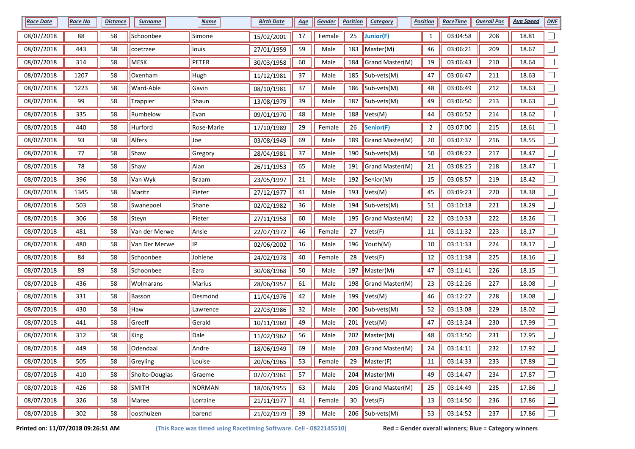| <b>Race Date</b> | <b>Race No</b> | <u>Distance</u> | <b>Surname</b>  | <b>Name</b>  | <b>Birth Date</b> | <u>Age</u> | Gender | <b>Position</b> | <b>Category</b>                 | <b>Position</b> | <b>RaceTime</b> | <b>Overall Pos</b> | <b>Avg Speed</b> | <b>DNF</b>               |
|------------------|----------------|-----------------|-----------------|--------------|-------------------|------------|--------|-----------------|---------------------------------|-----------------|-----------------|--------------------|------------------|--------------------------|
| 08/07/2018       | 88             | 58              | Schoonbee       | Simone       | 15/02/2001        | 17         | Female | 25              | Junior(F)                       | $\mathbf{1}$    | 03:04:58        | 208                | 18.81            |                          |
| 08/07/2018       | 443            | 58              | coetrzee        | louis        | 27/01/1959        | 59         | Male   | 183             | Master(M)                       | 46              | 03:06:21        | 209                | 18.67            |                          |
| 08/07/2018       | 314            | 58              | MESK            | PETER        | 30/03/1958        | 60         | Male   | 184             | Grand Master(M)                 | 19              | 03:06:43        | 210                | 18.64            |                          |
| 08/07/2018       | 1207           | 58              | Oxenham         | Hugh         | 11/12/1981        | 37         | Male   | 185             | Sub-vets(M)                     | 47              | 03:06:47        | 211                | 18.63            |                          |
| 08/07/2018       | 1223           | 58              | Ward-Able       | Gavin        | 08/10/1981        | 37         | Male   | 186             | Sub-vets(M)                     | 48              | 03:06:49        | 212                | 18.63            |                          |
| 08/07/2018       | 99             | 58              | <b>Trappler</b> | Shaun        | 13/08/1979        | 39         | Male   | 187             | Sub-vets(M)                     | 49              | 03:06:50        | 213                | 18.63            | $\Box$                   |
| 08/07/2018       | 335            | 58              | Rumbelow        | Evan         | 09/01/1970        | 48         | Male   | 188             | Vets(M)                         | 44              | 03:06:52        | 214                | 18.62            |                          |
| 08/07/2018       | 440            | 58              | Hurford         | Rose-Marie   | 17/10/1989        | 29         | Female | 26              | Senior(F)                       | $\overline{2}$  | 03:07:00        | 215                | 18.61            |                          |
| 08/07/2018       | 93             | 58              | Alfers          | Joe          | 03/08/1949        | 69         | Male   | 189             | Grand Master(M)                 | $20\,$          | 03:07:37        | 216                | 18.55            |                          |
| 08/07/2018       | 77             | 58              | Shaw            | Gregory      | 28/04/1981        | 37         | Male   | 190             | Sub-vets(M)                     | 50              | 03:08:22        | 217                | 18.47            |                          |
| 08/07/2018       | 78             | 58              | Shaw            | Alan         | 26/11/1953        | 65         | Male   | 191             | Grand Master(M)                 | 21              | 03:08:25        | 218                | 18.47            |                          |
| 08/07/2018       | 396            | 58              | Van Wyk         | <b>Braam</b> | 23/05/1997        | 21         | Male   | 192             | Senior(M)                       | 15              | 03:08:57        | 219                | 18.42            |                          |
| 08/07/2018       | 1345           | 58              | Maritz          | Pieter       | 27/12/1977        | 41         | Male   | 193             | Vets(M)                         | 45              | 03:09:23        | 220                | 18.38            |                          |
| 08/07/2018       | 503            | 58              | Swanepoel       | Shane        | 02/02/1982        | 36         | Male   | 194             | Sub-vets(M)                     | 51              | 03:10:18        | 221                | 18.29            |                          |
| 08/07/2018       | 306            | 58              | Steyn           | Pieter       | 27/11/1958        | 60         | Male   | 195             | Grand Master(M)                 | 22              | 03:10:33        | 222                | 18.26            |                          |
| 08/07/2018       | 481            | 58              | Van der Merwe   | Ansie        | 22/07/1972        | 46         | Female | 27              | Vets(F)                         | 11              | 03:11:32        | 223                | 18.17            |                          |
| 08/07/2018       | 480            | 58              | Van Der Merwe   | $\Vert$ IP   | 02/06/2002        | 16         | Male   | 196             | Youth(M)                        | $10\,$          | 03:11:33        | 224                | 18.17            |                          |
| 08/07/2018       | 84             | 58              | Schoonbee       | Johlene      | 24/02/1978        | 40         | Female | 28              | Vets(F)                         | 12              | 03:11:38        | 225                | 18.16            |                          |
| 08/07/2018       | 89             | 58              | Schoonbee       | Ezra         | 30/08/1968        | 50         | Male   | 197             | $M$ Master(M)                   | 47              | 03:11:41        | 226                | 18.15            |                          |
| 08/07/2018       | 436            | 58              | Wolmarans       | Marius       | 28/06/1957        | 61         | Male   | 198             | Grand Master(M)                 | 23              | 03:12:26        | 227                | 18.08            |                          |
| 08/07/2018       | 331            | 58              | Basson          | Desmond      | 11/04/1976        | 42         | Male   | 199             | Vets(M)                         | 46              | 03:12:27        | 228                | 18.08            |                          |
| 08/07/2018       | 430            | 58              | Haw             | Lawrence     | 22/03/1986        | 32         | Male   | 200             | Sub-vets(M)                     | 52              | 03:13:08        | 229                | 18.02            |                          |
| 08/07/2018       | 441            | 58              | Greeff          | Gerald       | 10/11/1969        | 49         | Male   | 201             | Vets(M)                         | 47              | 03:13:24        | 230                | 17.99            | $\Box$                   |
| 08/07/2018       | 312            | 58              | King            | Dale         | 11/02/1962        | 56         | Male   | 202             | Master(M)                       | 48              | 03:13:50        | 231                | 17.95            |                          |
| 08/07/2018       | 449            | 58              | Odendaal        | Andre        | 18/06/1949        | 69         | Male   | 203             | Grand Master(M)                 | 24              | 03:14:11        | 232                | 17.92            |                          |
| 08/07/2018       | 505            | 58              | Greyling        | Louise       | 20/06/1965        | 53         | Female | 29              | Master(F)                       | 11              | 03:14:33        | 233                | 17.89            |                          |
| 08/07/2018       | 410            | 58              | Sholto-Douglas  | Graeme       | 07/07/1961        | 57         | Male   | 204             | Master(M)                       | 49              | 03:14:47        | 234                | 17.87            | $\overline{\phantom{a}}$ |
| 08/07/2018       | 426            | 58              | SMITH           | NORMAN       | 18/06/1955        | 63         | Male   |                 | 205 Grand Master(M)             | 25              | 03:14:49        | 235                | 17.86            | $\Box$                   |
| 08/07/2018       | 326            | 58              | Maree           | Lorraine     | 21/11/1977        | 41         | Female | 30              | Vets(F)                         | 13              | 03:14:50        | 236                | 17.86            |                          |
| 08/07/2018       | 302            | 58              | oosthuizen      | barend       | 21/02/1979        | 39         | Male   |                 | 206 $\sqrt{\text{Sub-vets(M)}}$ | 53              | 03:14:52        | 237                | 17.86            | $\Box$                   |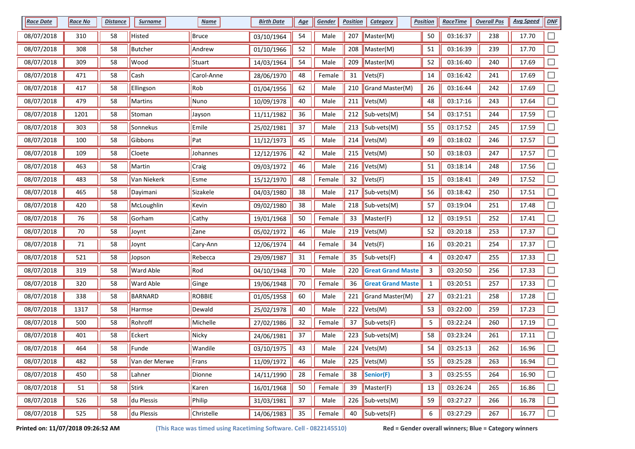| <b>Race Date</b> | <b>Race No</b> | <b>Distance</b> | <b>Surname</b>   | <b>Name</b>   | <b>Birth Date</b> | <u>Age</u> | Gender | <b>Position</b> | Category                 | <b>Position</b> | <b>RaceTime</b> | <b>Overall Pos</b> | <b>Avg Speed</b> | <b>DNF</b>                  |
|------------------|----------------|-----------------|------------------|---------------|-------------------|------------|--------|-----------------|--------------------------|-----------------|-----------------|--------------------|------------------|-----------------------------|
| 08/07/2018       | 310            | 58              | Histed           | Bruce         | 03/10/1964        | 54         | Male   | 207             | Master(M)                | $50\,$          | 03:16:37        | 238                | 17.70            |                             |
| 08/07/2018       | 308            | 58              | <b>Butcher</b>   | Andrew        | 01/10/1966        | 52         | Male   | 208             | Master(M)                | 51              | 03:16:39        | 239                | 17.70            |                             |
| 08/07/2018       | 309            | 58              | Wood             | Stuart        | 14/03/1964        | 54         | Male   | 209             | Master(M)                | 52              | 03:16:40        | 240                | 17.69            |                             |
| 08/07/2018       | 471            | 58              | Cash             | Carol-Anne    | 28/06/1970        | 48         | Female | 31              | Vets(F)                  | 14              | 03:16:42        | 241                | 17.69            |                             |
| 08/07/2018       | 417            | 58              | Ellingson        | Rob           | 01/04/1956        | 62         | Male   | 210             | Grand Master(M)          | 26              | 03:16:44        | 242                | 17.69            |                             |
| 08/07/2018       | 479            | 58              | Martins          | Nuno          | 10/09/1978        | 40         | Male   | 211             | Vets(M)                  | 48              | 03:17:16        | 243                | 17.64            |                             |
| 08/07/2018       | 1201           | 58              | Stoman           | Jayson        | 11/11/1982        | 36         | Male   | 212             | Sub-vets(M)              | 54              | 03:17:51        | 244                | 17.59            |                             |
| 08/07/2018       | 303            | 58              | Sonnekus         | Emile         | 25/02/1981        | 37         | Male   | 213             | Sub-vets(M)              | 55              | 03:17:52        | 245                | 17.59            |                             |
| 08/07/2018       | 100            | 58              | Gibbons          | Pat           | 11/12/1973        | 45         | Male   | 214             | Vets(M)                  | 49              | 03:18:02        | 246                | 17.57            |                             |
| 08/07/2018       | 109            | 58              | Cloete           | Johannes      | 12/12/1976        | 42         | Male   | 215             | Vets(M)                  | 50              | 03:18:03        | 247                | 17.57            |                             |
| 08/07/2018       | 463            | 58              | Martin           | Craig         | 09/03/1972        | 46         | Male   | 216             | Vets(M)                  | 51              | 03:18:14        | 248                | 17.56            |                             |
| 08/07/2018       | 483            | 58              | Van Niekerk      | Esme          | 15/12/1970        | 48         | Female | 32              | Vets(F)                  | 15              | 03:18:41        | 249                | 17.52            |                             |
| 08/07/2018       | 465            | 58              | Dayimani         | Sizakele      | 04/03/1980        | 38         | Male   | 217             | Sub-vets(M)              | 56              | 03:18:42        | 250                | 17.51            |                             |
| 08/07/2018       | 420            | 58              | McLoughlin       | Kevin         | 09/02/1980        | 38         | Male   | 218             | Sub-vets(M)              | 57              | 03:19:04        | 251                | 17.48            |                             |
| 08/07/2018       | 76             | 58              | Gorham           | Cathy         | 19/01/1968        | 50         | Female | 33              | Master(F)                | 12              | 03:19:51        | 252                | 17.41            | П                           |
| 08/07/2018       | 70             | 58              | Joynt            | Zane          | 05/02/1972        | 46         | Male   | 219             | Vets(M)                  | 52              | 03:20:18        | 253                | 17.37            |                             |
| 08/07/2018       | 71             | 58              | Joynt            | Cary-Ann      | 12/06/1974        | 44         | Female | 34              | Vets(F)                  | 16              | 03:20:21        | 254                | 17.37            |                             |
| 08/07/2018       | 521            | 58              | Jopson           | Rebecca       | 29/09/1987        | 31         | Female | 35              | Sub-vets(F)              | 4               | 03:20:47        | 255                | 17.33            |                             |
| 08/07/2018       | 319            | 58              | <b>Ward Able</b> | Rod           | 04/10/1948        | 70         | Male   | 220             | <b>Great Grand Maste</b> | 3               | 03:20:50        | 256                | 17.33            |                             |
| 08/07/2018       | 320            | 58              | <b>Ward Able</b> | Ginge         | 19/06/1948        | $70\,$     | Female | 36              | <b>Great Grand Maste</b> | $\mathbf{1}$    | 03:20:51        | 257                | 17.33            |                             |
| 08/07/2018       | 338            | 58              | <b>BARNARD</b>   | <b>ROBBIE</b> | 01/05/1958        | 60         | Male   | 221             | Grand Master(M)          | 27              | 03:21:21        | 258                | 17.28            |                             |
| 08/07/2018       | 1317           | 58              | Harmse           | Dewald        | 25/02/1978        | 40         | Male   | 222             | Vets(M)                  | 53              | 03:22:00        | 259                | 17.23            |                             |
| 08/07/2018       | 500            | 58              | Rohroff          | Michelle      | 27/02/1986        | 32         | Female | 37              | Sub-vets(F)              | 5               | 03:22:24        | 260                | 17.19            | $\Box$                      |
| 08/07/2018       | 401            | 58              | Eckert           | Nicky         | 24/06/1981        | 37         | Male   | 223             | Sub-vets(M)              | 58              | 03:23:24        | 261                | 17.11            |                             |
| 08/07/2018       | 464            | 58              | Funde            | Wandile       | 03/10/1975        | 43         | Male   |                 | 224 $ Vets(M) $          | 54              | 03:25:13        | 262                | 16.96            |                             |
| 08/07/2018       | 482            | 58              | Van der Merwe    | Frans         | 11/09/1972        | 46         | Male   |                 | 225 $ Vets(M) $          | 55              | 03:25:28        | 263                | 16.94            |                             |
| 08/07/2018       | 450            | 58              | Lahner           | Dionne        | 14/11/1990        | 28         | Female | 38              | Senior(F)                | 3               | 03:25:55        | 264                | 16.90            | $\Box$                      |
| 08/07/2018       | 51             | 58              | Stirk            | Karen         | 16/01/1968        | $50\,$     | Female | 39              | Master(F)                | 13              | 03:26:24        | 265                | 16.86            | $\mathcal{L}_{\mathcal{A}}$ |
| 08/07/2018       | 526            | 58              | du Plessis       | Philip        | 31/03/1981        | 37         | Male   | 226             | Sub-vets(M)              | 59              | 03:27:27        | 266                | 16.78            | $\Box$                      |
| 08/07/2018       | 525            | 58              | du Plessis       | Christelle    | 14/06/1983        | 35         | Female | 40              | Sub-vets(F)              | 6               | 03:27:29        | 267                | 16.77            |                             |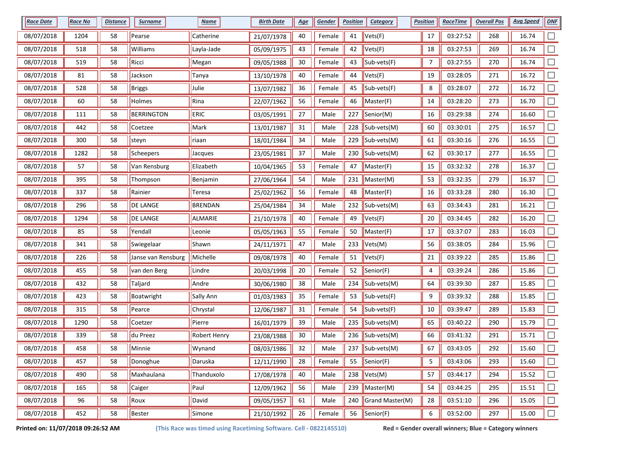| <b>Race Date</b> | <b>Race No</b> | <u>Distance</u> | <b>Surname</b>     | <b>Name</b>         | <b>Birth Date</b> | <u>Age</u> | Gender | <b>Position</b> | <b>Category</b> | <b>Position</b> | <b>RaceTime</b> | <b>Overall Pos</b> | <b>Avg Speed</b> | <b>DNF</b>               |
|------------------|----------------|-----------------|--------------------|---------------------|-------------------|------------|--------|-----------------|-----------------|-----------------|-----------------|--------------------|------------------|--------------------------|
| 08/07/2018       | 1204           | 58              | Pearse             | Catherine           | 21/07/1978        | 40         | Female | 41              | Vets(F)         | $17\,$          | 03:27:52        | 268                | 16.74            |                          |
| 08/07/2018       | 518            | 58              | Williams           | Layla-Jade          | 05/09/1975        | 43         | Female | 42              | Vets(F)         | 18              | 03:27:53        | 269                | 16.74            |                          |
| 08/07/2018       | 519            | 58              | Ricci              | Megan               | 09/05/1988        | 30         | Female | 43              | Sub-vets(F)     | 7               | 03:27:55        | 270                | 16.74            |                          |
| 08/07/2018       | 81             | 58              | Jackson            | <b>Tanya</b>        | 13/10/1978        | 40         | Female | 44              | Vets(F)         | 19              | 03:28:05        | 271                | 16.72            |                          |
| 08/07/2018       | 528            | 58              | <b>Briggs</b>      | Julie               | 13/07/1982        | 36         | Female | 45              | Sub-vets(F)     | 8               | 03:28:07        | 272                | 16.72            |                          |
| 08/07/2018       | 60             | 58              | Holmes             | Rina                | 22/07/1962        | 56         | Female | 46              | Master(F)       | 14              | 03:28:20        | 273                | 16.70            | $\Box$                   |
| 08/07/2018       | 111            | 58              | <b>BERRINGTON</b>  | ERIC                | 03/05/1991        | 27         | Male   | 227             | Senior(M)       | 16              | 03:29:38        | 274                | 16.60            |                          |
| 08/07/2018       | 442            | 58              | Coetzee            | Mark                | 13/01/1987        | 31         | Male   | 228             | Sub-vets(M)     | 60              | 03:30:01        | 275                | 16.57            |                          |
| 08/07/2018       | 300            | 58              | steyn              | riaan               | 18/01/1984        | 34         | Male   | 229             | Sub-vets(M)     | 61              | 03:30:16        | 276                | 16.55            |                          |
| 08/07/2018       | 1282           | 58              | Scheepers          | Jacques             | 23/05/1981        | 37         | Male   | 230             | Sub-vets(M)     | 62              | 03:30:17        | 277                | 16.55            |                          |
| 08/07/2018       | 57             | 58              | Van Rensburg       | Elizabeth           | 10/04/1965        | 53         | Female | 47              | Master(F)       | 15              | 03:32:32        | 278                | 16.37            |                          |
| 08/07/2018       | 395            | 58              | Thompson           | Benjamin            | 27/06/1964        | 54         | Male   | 231             | Master(M)       | 53              | 03:32:35        | 279                | 16.37            |                          |
| 08/07/2018       | 337            | 58              | Rainier            | Teresa              | 25/02/1962        | 56         | Female | 48              | Master(F)       | 16              | 03:33:28        | 280                | 16.30            |                          |
| 08/07/2018       | 296            | 58              | <b>DE LANGE</b>    | <b>BRENDAN</b>      | 25/04/1984        | 34         | Male   | 232             | Sub-vets(M)     | 63              | 03:34:43        | 281                | 16.21            |                          |
| 08/07/2018       | 1294           | 58              | <b>DE LANGE</b>    | ALMARIE             | 21/10/1978        | 40         | Female | 49              | Vets(F)         | 20              | 03:34:45        | 282                | 16.20            |                          |
| 08/07/2018       | 85             | 58              | Yendall            | Leonie              | 05/05/1963        | 55         | Female | 50              | Master(F)       | 17              | 03:37:07        | 283                | 16.03            |                          |
| 08/07/2018       | 341            | 58              | Swiegelaar         | Shawn               | 24/11/1971        | 47         | Male   | 233             | Vets(M)         | 56              | 03:38:05        | 284                | 15.96            |                          |
| 08/07/2018       | 226            | 58              | Janse van Rensburg | Michelle            | 09/08/1978        | 40         | Female | 51              | Vets(F)         | 21              | 03:39:22        | 285                | 15.86            |                          |
| 08/07/2018       | 455            | 58              | van den Berg       | Lindre              | 20/03/1998        | 20         | Female | 52              | Senior(F)       | 4               | 03:39:24        | 286                | 15.86            |                          |
| 08/07/2018       | 432            | 58              | Taljard            | Andre               | 30/06/1980        | 38         | Male   | 234             | Sub-vets(M)     | 64              | 03:39:30        | 287                | 15.85            |                          |
| 08/07/2018       | 423            | 58              | Boatwright         | Sally Ann           | 01/03/1983        | 35         | Female | 53              | Sub-vets(F)     | 9               | 03:39:32        | 288                | 15.85            |                          |
| 08/07/2018       | 315            | 58              | Pearce             | Chrystal            | 12/06/1987        | 31         | Female | 54              | Sub-vets(F)     | $10\,$          | 03:39:47        | 289                | 15.83            |                          |
| 08/07/2018       | 1290           | 58              | Coetzer            | Pierre              | 16/01/1979        | 39         | Male   | 235             | Sub-vets(M)     | 65              | 03:40:22        | 290                | 15.79            | $\Box$                   |
| 08/07/2018       | 339            | 58              | du Preez           | <b>Robert Henry</b> | 23/08/1988        | 30         | Male   | 236             | Sub-vets(M)     | 66              | 03:41:32        | 291                | 15.71            |                          |
| 08/07/2018       | 458            | 58              | Minnie             | Wynand              | 08/03/1986        | 32         | Male   | 237             | Sub-vets(M)     | 67              | 03:43:05        | 292                | 15.60            |                          |
| 08/07/2018       | 457            | 58              | Donoghue           | Daruska             | 12/11/1990        | 28         | Female | 55              | Senior(F)       | 5               | 03:43:06        | 293                | 15.60            |                          |
| 08/07/2018       | 490            | 58              | Maxhaulana         | Thanduxolo          | 17/08/1978        | 40         | Male   |                 | 238 $Vets(M)$   | 57              | 03:44:17        | 294                | 15.52            | $\overline{\phantom{a}}$ |
| 08/07/2018       | 165            | 58              | Caiger             | Paul                | 12/09/1962        | 56         | Male   |                 | 239   Master(M) | 54              | 03:44:25        | 295                | 15.51            | $\Box$                   |
| 08/07/2018       | 96             | 58              | Roux               | David               | 09/05/1957        | 61         | Male   | 240             | Grand Master(M) | 28              | 03:51:10        | 296                | 15.05            | $\Box$                   |
| 08/07/2018       | 452            | 58              | Bester             | Simone              | 21/10/1992        | 26         | Female | 56              | Senior(F)       | 6               | 03:52:00        | 297                | 15.00            | $\Box$                   |

**Printed on: 11/07/2018 09:26:52 AM (This Race was timed using Racetiming Software. Cell - 0822145510) Red = Gender overall winners; Blue = Category winners**